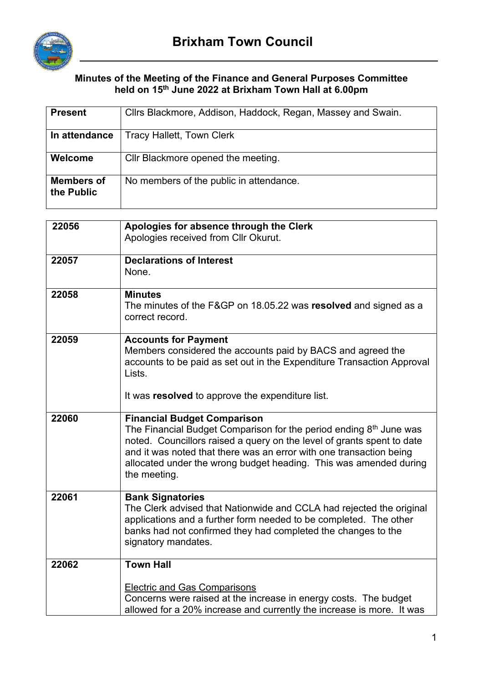

## **Minutes of the Meeting of the Finance and General Purposes Committee held on 15th June 2022 at Brixham Town Hall at 6.00pm**

| <b>Present</b>                  | Cllrs Blackmore, Addison, Haddock, Regan, Massey and Swain.                                                                                                                                                                                                                                                                                    |  |  |
|---------------------------------|------------------------------------------------------------------------------------------------------------------------------------------------------------------------------------------------------------------------------------------------------------------------------------------------------------------------------------------------|--|--|
| In attendance                   | <b>Tracy Hallett, Town Clerk</b>                                                                                                                                                                                                                                                                                                               |  |  |
| Welcome                         | Cllr Blackmore opened the meeting.                                                                                                                                                                                                                                                                                                             |  |  |
| <b>Members of</b><br>the Public | No members of the public in attendance.                                                                                                                                                                                                                                                                                                        |  |  |
|                                 |                                                                                                                                                                                                                                                                                                                                                |  |  |
| 22056                           | Apologies for absence through the Clerk<br>Apologies received from Cllr Okurut.                                                                                                                                                                                                                                                                |  |  |
| 22057                           | <b>Declarations of Interest</b><br>None.                                                                                                                                                                                                                                                                                                       |  |  |
| 22058                           | <b>Minutes</b><br>The minutes of the F&GP on 18.05.22 was resolved and signed as a<br>correct record.                                                                                                                                                                                                                                          |  |  |
| 22059                           | <b>Accounts for Payment</b><br>Members considered the accounts paid by BACS and agreed the<br>accounts to be paid as set out in the Expenditure Transaction Approval<br>Lists.<br>It was resolved to approve the expenditure list.                                                                                                             |  |  |
| 22060                           | <b>Financial Budget Comparison</b><br>The Financial Budget Comparison for the period ending 8th June was<br>noted. Councillors raised a query on the level of grants spent to date<br>and it was noted that there was an error with one transaction being<br>allocated under the wrong budget heading. This was amended during<br>the meeting. |  |  |
| 22061                           | <b>Bank Signatories</b><br>The Clerk advised that Nationwide and CCLA had rejected the original<br>applications and a further form needed to be completed. The other<br>banks had not confirmed they had completed the changes to the<br>signatory mandates.                                                                                   |  |  |
| 22062                           | <b>Town Hall</b>                                                                                                                                                                                                                                                                                                                               |  |  |
|                                 | <b>Electric and Gas Comparisons</b><br>Concerns were raised at the increase in energy costs. The budget<br>allowed for a 20% increase and currently the increase is more. It was                                                                                                                                                               |  |  |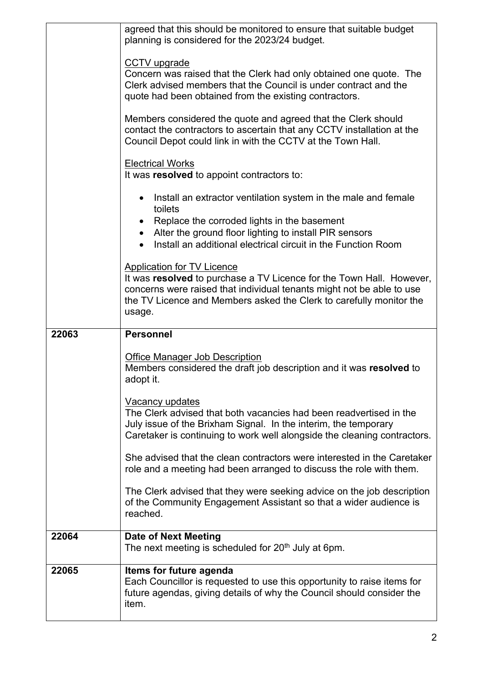|       | agreed that this should be monitored to ensure that suitable budget<br>planning is considered for the 2023/24 budget.                                                                                                                                               |  |  |  |
|-------|---------------------------------------------------------------------------------------------------------------------------------------------------------------------------------------------------------------------------------------------------------------------|--|--|--|
|       | CCTV upgrade<br>Concern was raised that the Clerk had only obtained one quote. The<br>Clerk advised members that the Council is under contract and the<br>quote had been obtained from the existing contractors.                                                    |  |  |  |
|       | Members considered the quote and agreed that the Clerk should<br>contact the contractors to ascertain that any CCTV installation at the<br>Council Depot could link in with the CCTV at the Town Hall.                                                              |  |  |  |
|       | <b>Electrical Works</b><br>It was resolved to appoint contractors to:                                                                                                                                                                                               |  |  |  |
|       | Install an extractor ventilation system in the male and female<br>$\bullet$<br>toilets<br>Replace the corroded lights in the basement<br>Alter the ground floor lighting to install PIR sensors<br>Install an additional electrical circuit in the Function Room    |  |  |  |
|       | <b>Application for TV Licence</b><br>It was resolved to purchase a TV Licence for the Town Hall. However,<br>concerns were raised that individual tenants might not be able to use<br>the TV Licence and Members asked the Clerk to carefully monitor the<br>usage. |  |  |  |
| 22063 |                                                                                                                                                                                                                                                                     |  |  |  |
|       | <b>Personnel</b>                                                                                                                                                                                                                                                    |  |  |  |
|       | <b>Office Manager Job Description</b><br>Members considered the draft job description and it was resolved to<br>adopt it.                                                                                                                                           |  |  |  |
|       | Vacancy updates<br>The Clerk advised that both vacancies had been readvertised in the<br>July issue of the Brixham Signal. In the interim, the temporary<br>Caretaker is continuing to work well alongside the cleaning contractors.                                |  |  |  |
|       | She advised that the clean contractors were interested in the Caretaker<br>role and a meeting had been arranged to discuss the role with them.                                                                                                                      |  |  |  |
|       | The Clerk advised that they were seeking advice on the job description<br>of the Community Engagement Assistant so that a wider audience is<br>reached.                                                                                                             |  |  |  |
| 22064 | <b>Date of Next Meeting</b><br>The next meeting is scheduled for 20 <sup>th</sup> July at 6pm.                                                                                                                                                                      |  |  |  |